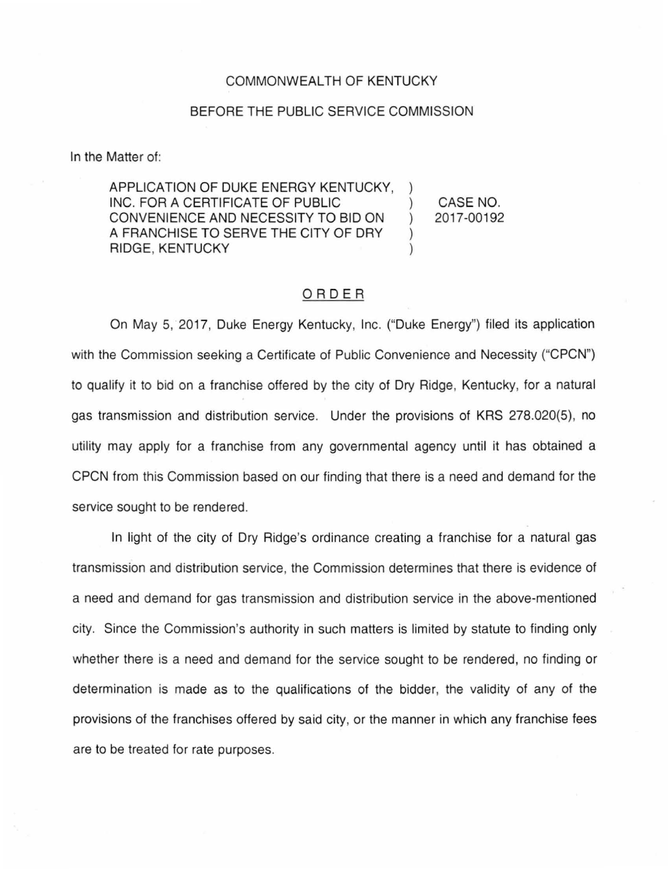## COMMONWEALTH OF KENTUCKY

## BEFORE THE PUBLIC SERVICE COMMISSION

In the Matter of:

APPLICATION OF DUKE ENERGY KENTUCKY, INC. FOR A CERTIFICATE OF PUBLIC CONVENIENCE AND NECESSITY TO BID ON ) A FRANCHISE TO SERVE THE CITY OF DRY RIDGE, KENTUCKY )

CASE NO. 2017-00192

## ORDER

On May 5, 2017, Duke Energy Kentucky, Inc. ("Duke Energy") filed its application with the Commission seeking a Certificate of Public Convenience and Necessity ("CPCN") to qualify it to bid on a franchise offered by the city of Dry Ridge, Kentucky, for a natural gas transmission and distribution service. Under the provisions of KRS 278.020(5), no utility may apply for a franchise from any governmental agency until it has obtained a CPCN from this Commission based on our finding that there is a need and demand for the service sought to be rendered.

In light of the city of Dry Ridge's ordinance creating a franchise for a natural gas transmission and distribution service, the Commission determines that there is evidence of a need and demand for gas transmission and distribution service in the above-mentioned city. Since the Commission's authority in such matters is limited by statute to finding only whether there is a need and demand for the service sought to be rendered, no finding or determination is made as to the qualifications of the bidder, the validity of any of the provisions of the franchises offered by said city, or the manner in which any franchise fees are to be treated for rate purposes.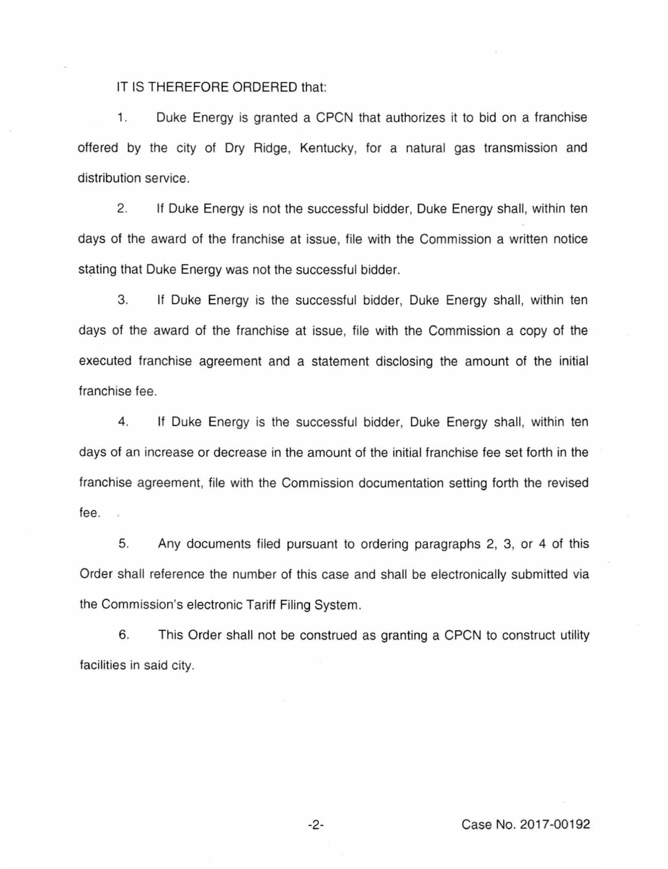IT IS THEREFORE ORDERED that:

1. Duke Energy is granted a CPCN that authorizes it to bid on a franchise offered by the city of Dry Ridge, Kentucky, for a natural gas transmission and distribution service.

2. If Duke Energy is not the successful bidder, Duke Energy shall, within ten days of the award of the franchise at issue, file with the Commission a written notice stating that Duke Energy was not the successful bidder.

3. If Duke Energy is the successful bidder, Duke Energy shall, within ten days of the award of the franchise at issue, file with the Commission a copy of the executed franchise agreement and a statement disclosing the amount of the initial franchise fee.

4. If Duke Energy is the successful bidder, Duke Energy shall, within ten days of an increase or decrease in the amount of the initial franchise fee set forth in the franchise agreement, file with the Commission documentation setting forth the revised fee.

5. Any documents filed pursuant to ordering paragraphs 2, 3, or 4 of this Order shall reference the number of this case and shall be electronically submitted via the Commission's electronic Tariff Filing System.

6. This Order shall not be construed as granting a CPCN to construct utility facilities in said city.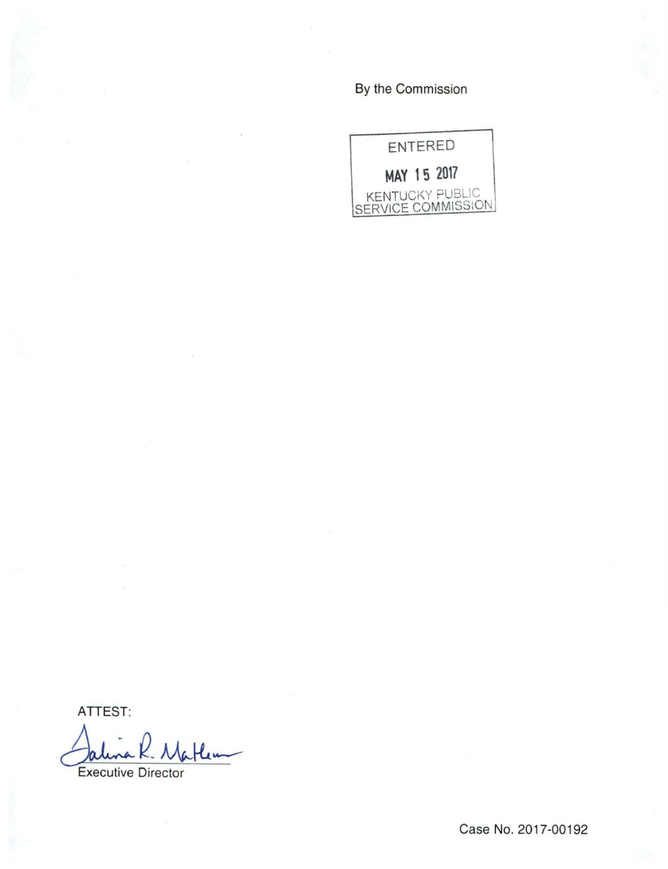By the Commission



ATTEST:

Jalma K. Matlew<br>Executive Director

Case No. 2017-00192